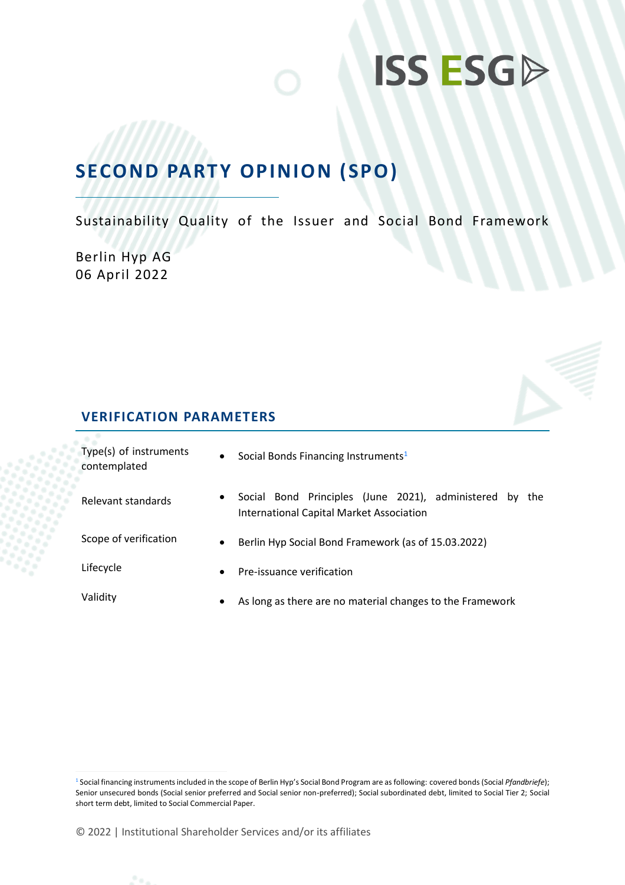## **SECOND PARTY OPINION (SPO)**

Sustainability Quality of the Issuer and Social Bond Framework

Berlin Hyp AG 06 April 2022



#### **VERIFICATION PARAMETERS**

| Type(s) of instruments<br>contemplated | $\bullet$ | Social Bonds Financing Instruments <sup>1</sup>                                                               |  |  |
|----------------------------------------|-----------|---------------------------------------------------------------------------------------------------------------|--|--|
| Relevant standards                     | $\bullet$ | Social Bond Principles (June 2021), administered by<br>the<br><b>International Capital Market Association</b> |  |  |
| Scope of verification                  | $\bullet$ | Berlin Hyp Social Bond Framework (as of 15.03.2022)                                                           |  |  |
| Lifecycle                              | $\bullet$ | Pre-issuance verification                                                                                     |  |  |
| Validity                               | ٠         | As long as there are no material changes to the Framework                                                     |  |  |

<sup>1</sup> Social financing instruments included in the scope of Berlin Hyp's Social Bond Program are as following: covered bonds (Social *Pfandbriefe*); Senior unsecured bonds (Social senior preferred and Social senior non-preferred); Social subordinated debt, limited to Social Tier 2; Social short term debt, limited to Social Commercial Paper.

<sup>© 2022</sup> | Institutional Shareholder Services and/or its affiliates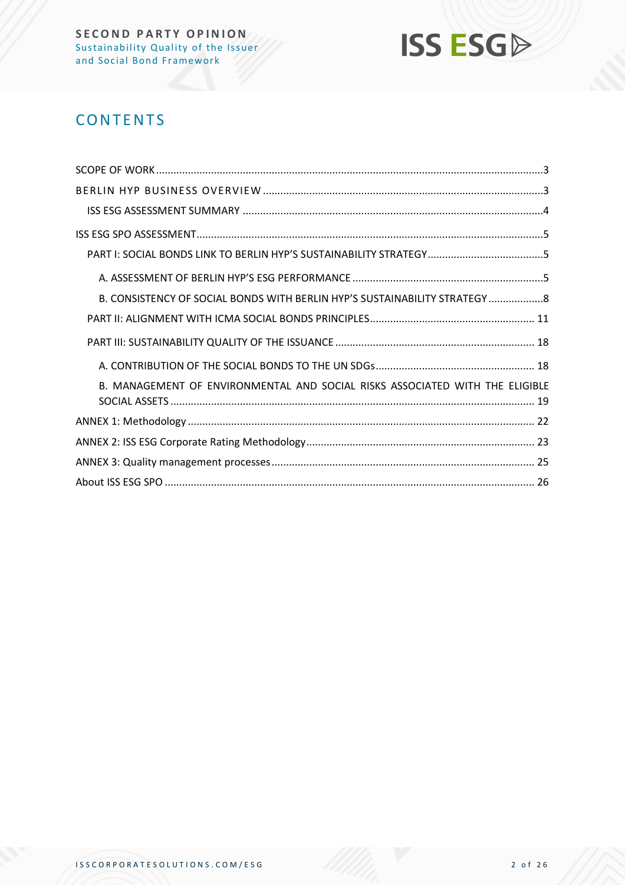

## **CONTENTS**

| B. CONSISTENCY OF SOCIAL BONDS WITH BERLIN HYP'S SUSTAINABILITY STRATEGY8    |  |
|------------------------------------------------------------------------------|--|
|                                                                              |  |
|                                                                              |  |
|                                                                              |  |
| B. MANAGEMENT OF ENVIRONMENTAL AND SOCIAL RISKS ASSOCIATED WITH THE ELIGIBLE |  |
|                                                                              |  |
|                                                                              |  |
|                                                                              |  |
|                                                                              |  |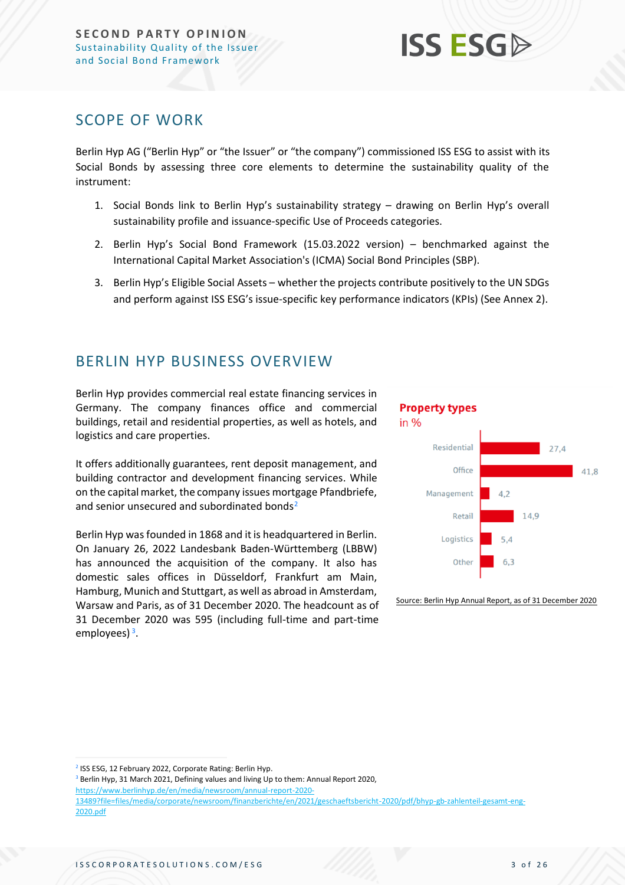### <span id="page-2-0"></span>SCOPE OF WORK

Berlin Hyp AG ("Berlin Hyp" or "the Issuer" or "the company") commissioned ISS ESG to assist with its Social Bonds by assessing three core elements to determine the sustainability quality of the instrument:

- 1. Social Bonds link to Berlin Hyp's sustainability strategy drawing on Berlin Hyp's overall sustainability profile and issuance-specific Use of Proceeds categories.
- 2. Berlin Hyp's Social Bond Framework (15.03.2022 version) benchmarked against the International Capital Market Association's (ICMA) Social Bond Principles (SBP).
- 3. Berlin Hyp's Eligible Social Assets whether the projects contribute positively to the UN SDGs and perform against ISS ESG's issue-specific key performance indicators (KPIs) (See Annex 2).

### <span id="page-2-1"></span>BERLIN HYP BUSINESS OVERVIEW

Berlin Hyp provides commercial real estate financing services in Germany. The company finances office and commercial buildings, retail and residential properties, as well as hotels, and logistics and care properties.

It offers additionally guarantees, rent deposit management, and building contractor and development financing services. While on the capital market, the company issues mortgage Pfandbriefe, and senior unsecured and subordinated bonds<sup>2</sup>

Berlin Hyp was founded in 1868 and it is headquartered in Berlin. On January 26, 2022 Landesbank Baden-Württemberg (LBBW) has announced the acquisition of the company. It also has domestic sales offices in Düsseldorf, Frankfurt am Main, Hamburg, Munich and Stuttgart, as well as abroad in Amsterdam, Warsaw and Paris, as of 31 December 2020. The headcount as of 31 December 2020 was 595 (including full-time and part-time employees)<sup>3</sup>.

#### **Property types** in  $%$ Residential 27.4 Office 41.8 Management 14,9 Retail Logistics  $5A$ Other  $63$

Source: Berlin Hyp Annual Report, as of 31 December 2020

<sup>2</sup> ISS ESG, 12 February 2022, Corporate Rating: Berlin Hyp.

<sup>3</sup> Berlin Hyp, 31 March 2021, Defining values and living Up to them: Annual Report 2020, [https://www.berlinhyp.de/en/media/newsroom/annual-report-2020-](https://www.berlinhyp.de/en/media/newsroom/annual-report-2020-13489?file=files/media/corporate/newsroom/finanzberichte/en/2021/geschaeftsbericht-2020/pdf/bhyp-gb-zahlenteil-gesamt-eng-2020.pdf) [13489?file=files/media/corporate/newsroom/finanzberichte/en/2021/geschaeftsbericht-2020/pdf/bhyp-gb-zahlenteil-gesamt-eng-](https://www.berlinhyp.de/en/media/newsroom/annual-report-2020-13489?file=files/media/corporate/newsroom/finanzberichte/en/2021/geschaeftsbericht-2020/pdf/bhyp-gb-zahlenteil-gesamt-eng-2020.pdf)[2020.pdf](https://www.berlinhyp.de/en/media/newsroom/annual-report-2020-13489?file=files/media/corporate/newsroom/finanzberichte/en/2021/geschaeftsbericht-2020/pdf/bhyp-gb-zahlenteil-gesamt-eng-2020.pdf)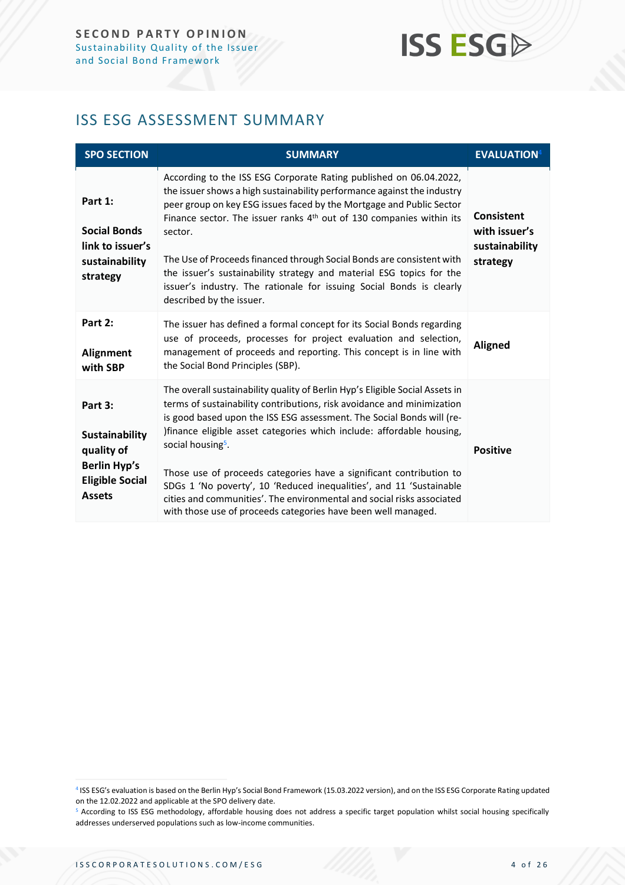## <span id="page-3-0"></span>ISS ESG ASSESSMENT SUMMARY

| <b>SPO SECTION</b>                                                                                               | <b>SUMMARY</b>                                                                                                                                                                                                                                                                                                                                                                                                                                                                                                                                                                                                                     | <b>EVALUATION4</b>                                               |
|------------------------------------------------------------------------------------------------------------------|------------------------------------------------------------------------------------------------------------------------------------------------------------------------------------------------------------------------------------------------------------------------------------------------------------------------------------------------------------------------------------------------------------------------------------------------------------------------------------------------------------------------------------------------------------------------------------------------------------------------------------|------------------------------------------------------------------|
| Part 1:<br><b>Social Bonds</b><br>link to issuer's<br>sustainability<br>strategy                                 | According to the ISS ESG Corporate Rating published on 06.04.2022,<br>the issuer shows a high sustainability performance against the industry<br>peer group on key ESG issues faced by the Mortgage and Public Sector<br>Finance sector. The issuer ranks 4 <sup>th</sup> out of 130 companies within its<br>sector.<br>The Use of Proceeds financed through Social Bonds are consistent with<br>the issuer's sustainability strategy and material ESG topics for the<br>issuer's industry. The rationale for issuing Social Bonds is clearly<br>described by the issuer.                                                          | <b>Consistent</b><br>with issuer's<br>sustainability<br>strategy |
| Part 2:<br>Alignment<br>with SBP                                                                                 | The issuer has defined a formal concept for its Social Bonds regarding<br>use of proceeds, processes for project evaluation and selection,<br>management of proceeds and reporting. This concept is in line with<br>the Social Bond Principles (SBP).                                                                                                                                                                                                                                                                                                                                                                              | <b>Aligned</b>                                                   |
| Part 3:<br><b>Sustainability</b><br>quality of<br><b>Berlin Hyp's</b><br><b>Eligible Social</b><br><b>Assets</b> | The overall sustainability quality of Berlin Hyp's Eligible Social Assets in<br>terms of sustainability contributions, risk avoidance and minimization<br>is good based upon the ISS ESG assessment. The Social Bonds will (re-<br>)finance eligible asset categories which include: affordable housing,<br>social housing <sup>5</sup> .<br>Those use of proceeds categories have a significant contribution to<br>SDGs 1 'No poverty', 10 'Reduced inequalities', and 11 'Sustainable<br>cities and communities'. The environmental and social risks associated<br>with those use of proceeds categories have been well managed. | <b>Positive</b>                                                  |

<sup>4</sup> ISS ESG's evaluation is based on the Berlin Hyp's Social Bond Framework (15.03.2022 version), and on the ISS ESG Corporate Rating updated on the 12.02.2022 and applicable at the SPO delivery date.

<sup>5</sup> According to ISS ESG methodology, affordable housing does not address a specific target population whilst social housing specifically addresses underserved populations such as low-income communities.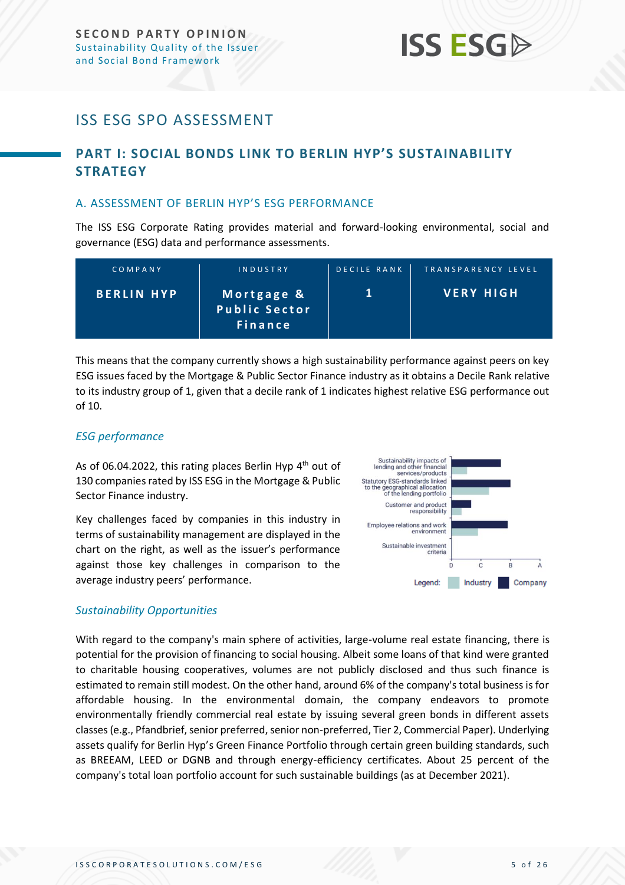## <span id="page-4-0"></span>ISS ESG SPO ASSESSMENT

### <span id="page-4-1"></span>**PART I: SOCIAL BONDS LINK TO BERLIN HYP'S SUSTAINABILITY STRATEGY**

#### <span id="page-4-2"></span>A. ASSESSMENT OF BERLIN HYP'S ESG PERFORMANCE

The ISS ESG Corporate Rating provides material and forward-looking environmental, social and governance (ESG) data and performance assessments.

| COMPANY           | INDUSTRY                                             | DECILE RANK | TRANSPARENCY LEVEL |
|-------------------|------------------------------------------------------|-------------|--------------------|
| <b>BERLIN HYP</b> | Mortgage &<br><b>Public Sector</b><br><b>Finance</b> |             | <b>VERY HIGH</b>   |

This means that the company currently shows a high sustainability performance against peers on key ESG issues faced by the Mortgage & Public Sector Finance industry as it obtains a Decile Rank relative to its industry group of 1, given that a decile rank of 1 indicates highest relative ESG performance out of 10.

#### *ESG performance*

As of 06.04.2022, this rating places Berlin Hyp 4<sup>th</sup> out of 130 companies rated by ISS ESG in the Mortgage & Public Sector Finance industry.

Key challenges faced by companies in this industry in terms of sustainability management are displayed in the chart on the right, as well as the issuer's performance against those key challenges in comparison to the average industry peers' performance.



#### *Sustainability Opportunities*

With regard to the company's main sphere of activities, large-volume real estate financing, there is potential for the provision of financing to social housing. Albeit some loans of that kind were granted to charitable housing cooperatives, volumes are not publicly disclosed and thus such finance is estimated to remain still modest. On the other hand, around 6% of the company's total business is for affordable housing. In the environmental domain, the company endeavors to promote environmentally friendly commercial real estate by issuing several green bonds in different assets classes (e.g., Pfandbrief, senior preferred, senior non-preferred, Tier 2, Commercial Paper). Underlying assets qualify for Berlin Hyp's Green Finance Portfolio through certain green building standards, such as BREEAM, LEED or DGNB and through energy-efficiency certificates. About 25 percent of the company's total loan portfolio account for such sustainable buildings (as at December 2021).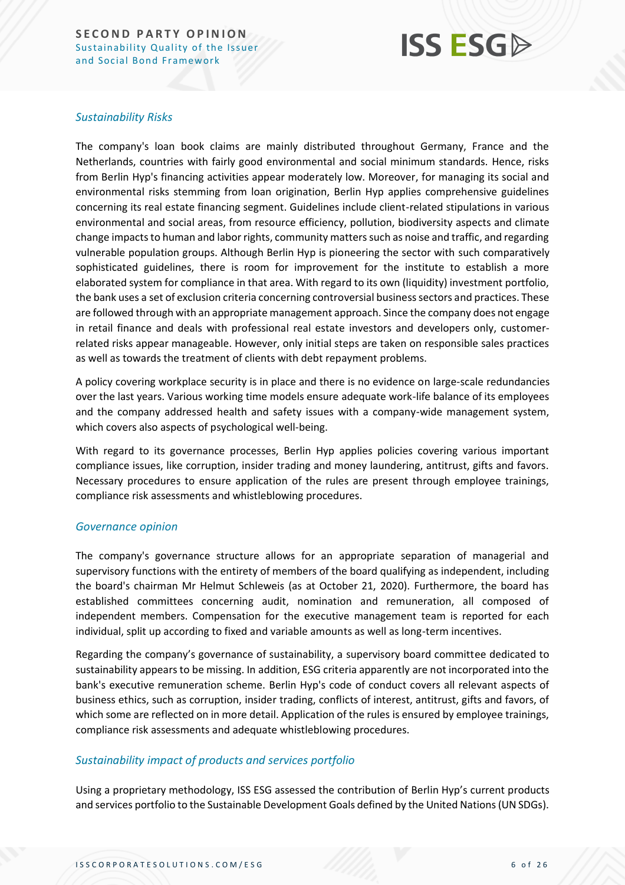## **ISS ESG**

#### *Sustainability Risks*

The company's loan book claims are mainly distributed throughout Germany, France and the Netherlands, countries with fairly good environmental and social minimum standards. Hence, risks from Berlin Hyp's financing activities appear moderately low. Moreover, for managing its social and environmental risks stemming from loan origination, Berlin Hyp applies comprehensive guidelines concerning its real estate financing segment. Guidelines include client-related stipulations in various environmental and social areas, from resource efficiency, pollution, biodiversity aspects and climate change impacts to human and labor rights, community matters such as noise and traffic, and regarding vulnerable population groups. Although Berlin Hyp is pioneering the sector with such comparatively sophisticated guidelines, there is room for improvement for the institute to establish a more elaborated system for compliance in that area. With regard to its own (liquidity) investment portfolio, the bank uses a set of exclusion criteria concerning controversial business sectors and practices. These are followed through with an appropriate management approach. Since the company does not engage in retail finance and deals with professional real estate investors and developers only, customerrelated risks appear manageable. However, only initial steps are taken on responsible sales practices as well as towards the treatment of clients with debt repayment problems.

A policy covering workplace security is in place and there is no evidence on large-scale redundancies over the last years. Various working time models ensure adequate work-life balance of its employees and the company addressed health and safety issues with a company-wide management system, which covers also aspects of psychological well-being.

With regard to its governance processes, Berlin Hyp applies policies covering various important compliance issues, like corruption, insider trading and money laundering, antitrust, gifts and favors. Necessary procedures to ensure application of the rules are present through employee trainings, compliance risk assessments and whistleblowing procedures.

#### *Governance opinion*

The company's governance structure allows for an appropriate separation of managerial and supervisory functions with the entirety of members of the board qualifying as independent, including the board's chairman Mr Helmut Schleweis (as at October 21, 2020). Furthermore, the board has established committees concerning audit, nomination and remuneration, all composed of independent members. Compensation for the executive management team is reported for each individual, split up according to fixed and variable amounts as well as long-term incentives.

Regarding the company's governance of sustainability, a supervisory board committee dedicated to sustainability appears to be missing. In addition, ESG criteria apparently are not incorporated into the bank's executive remuneration scheme. Berlin Hyp's code of conduct covers all relevant aspects of business ethics, such as corruption, insider trading, conflicts of interest, antitrust, gifts and favors, of which some are reflected on in more detail. Application of the rules is ensured by employee trainings, compliance risk assessments and adequate whistleblowing procedures.

#### *Sustainability impact of products and services portfolio*

Using a proprietary methodology, ISS ESG assessed the contribution of Berlin Hyp's current products and services portfolio to the Sustainable Development Goals defined by the United Nations (UN SDGs).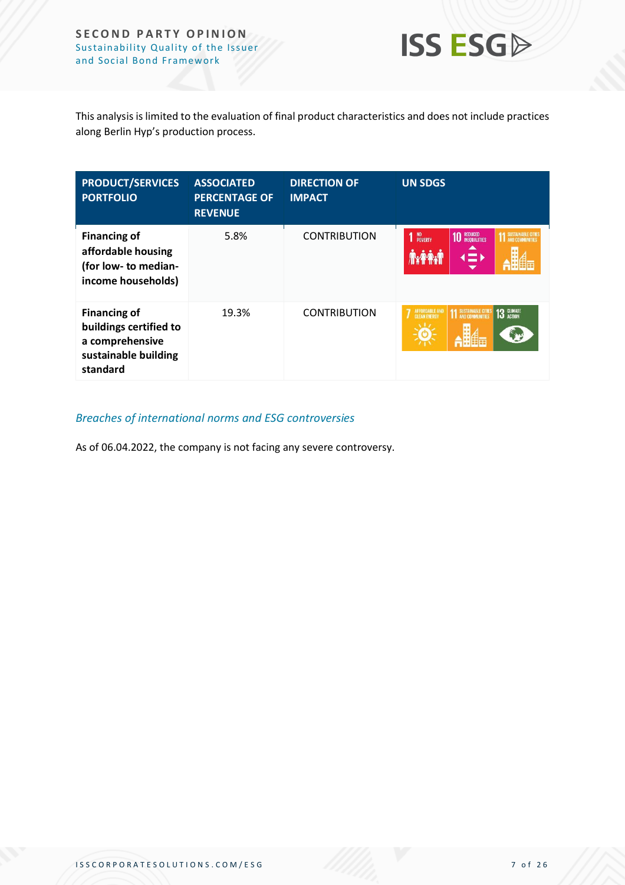

This analysis is limited to the evaluation of final product characteristics and does not include practices along Berlin Hyp's production process.

| <b>PRODUCT/SERVICES</b><br><b>PORTFOLIO</b>                                                          | <b>ASSOCIATED</b><br><b>PERCENTAGE OF</b><br><b>REVENUE</b> | <b>DIRECTION OF</b><br><b>IMPACT</b> | <b>UN SDGS</b>                                                                  |
|------------------------------------------------------------------------------------------------------|-------------------------------------------------------------|--------------------------------------|---------------------------------------------------------------------------------|
| <b>Financing of</b><br>affordable housing<br>(for low- to median-<br>income households)              | 5.8%                                                        | <b>CONTRIBUTION</b>                  | NO<br>POVERTY<br>REDUCED<br>INEQUALITIES<br><b>11 SUSTAINABLE CITTES</b><br>(≡⊾ |
| <b>Financing of</b><br>buildings certified to<br>a comprehensive<br>sustainable building<br>standard | 19.3%                                                       | <b>CONTRIBUTION</b>                  | 13 GLIMATE<br>AFFORDABLE AND<br><b>11 SUSTAINABLE CITIES</b>                    |

#### *Breaches of international norms and ESG controversies*

As of 06.04.2022, the company is not facing any severe controversy.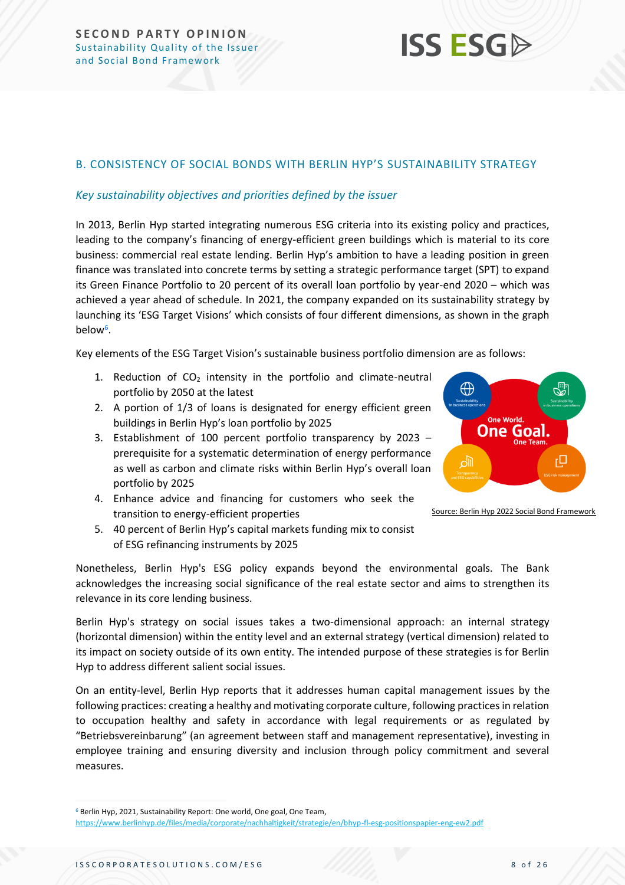#### <span id="page-7-0"></span>B. CONSISTENCY OF SOCIAL BONDS WITH BERLIN HYP'S SUSTAINABILITY STRATEGY

#### *Key sustainability objectives and priorities defined by the issuer*

In 2013, Berlin Hyp started integrating numerous ESG criteria into its existing policy and practices, leading to the company's financing of energy-efficient green buildings which is material to its core business: commercial real estate lending. Berlin Hyp's ambition to have a leading position in green finance was translated into concrete terms by setting a strategic performance target (SPT) to expand its Green Finance Portfolio to 20 percent of its overall loan portfolio by year-end 2020 – which was achieved a year ahead of schedule. In 2021, the company expanded on its sustainability strategy by launching its 'ESG Target Visions' which consists of four different dimensions, as shown in the graph below<sup>6</sup>.

Key elements of the ESG Target Vision's sustainable business portfolio dimension are as follows:

- 1. Reduction of  $CO<sub>2</sub>$  intensity in the portfolio and climate-neutral portfolio by 2050 at the latest
- 2. A portion of 1/3 of loans is designated for energy efficient green buildings in Berlin Hyp's loan portfolio by 2025
- 3. Establishment of 100 percent portfolio transparency by 2023 prerequisite for a systematic determination of energy performance as well as carbon and climate risks within Berlin Hyp's overall loan portfolio by 2025
- 4. Enhance advice and financing for customers who seek the transition to energy-efficient properties
- 5. 40 percent of Berlin Hyp's capital markets funding mix to consist of ESG refinancing instruments by 2025

Nonetheless, Berlin Hyp's ESG policy expands beyond the environmental goals. The Bank acknowledges the increasing social significance of the real estate sector and aims to strengthen its relevance in its core lending business.

Berlin Hyp's strategy on social issues takes a two-dimensional approach: an internal strategy (horizontal dimension) within the entity level and an external strategy (vertical dimension) related to its impact on society outside of its own entity. The intended purpose of these strategies is for Berlin Hyp to address different salient social issues.

On an entity-level, Berlin Hyp reports that it addresses human capital management issues by the following practices: creating a healthy and motivating corporate culture, following practices in relation to occupation healthy and safety in accordance with legal requirements or as regulated by "Betriebsvereinbarung" (an agreement between staff and management representative), investing in employee training and ensuring diversity and inclusion through policy commitment and several measures.



Source: Berlin Hyp 2022 Social Bond Framework

<sup>6</sup> Berlin Hyp, 2021, Sustainability Report: One world, One goal, One Team,

<https://www.berlinhyp.de/files/media/corporate/nachhaltigkeit/strategie/en/bhyp-fl-esg-positionspapier-eng-ew2.pdf>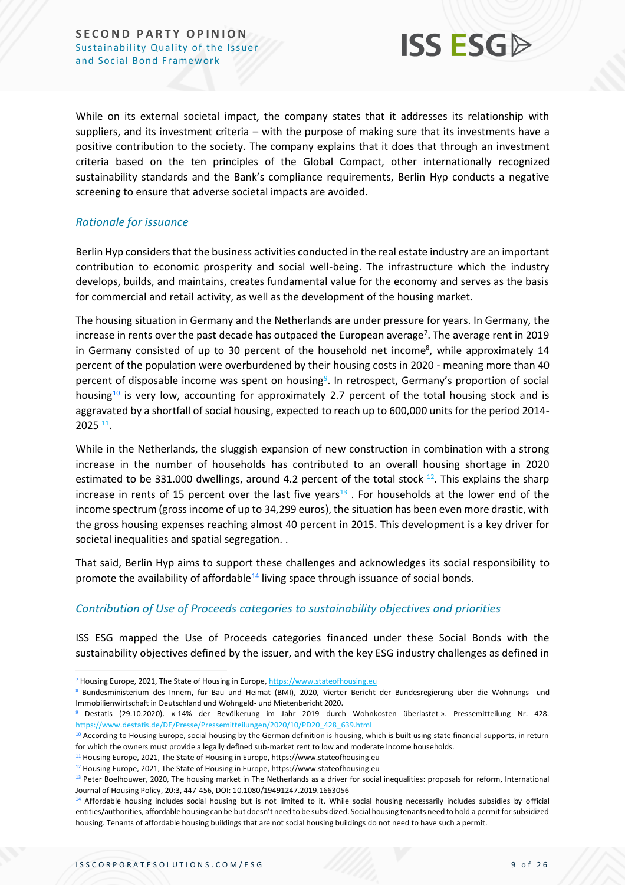

While on its external societal impact, the company states that it addresses its relationship with suppliers, and its investment criteria – with the purpose of making sure that its investments have a positive contribution to the society. The company explains that it does that through an investment criteria based on the ten principles of the Global Compact, other internationally recognized sustainability standards and the Bank's compliance requirements, Berlin Hyp conducts a negative screening to ensure that adverse societal impacts are avoided.

#### *Rationale for issuance*

Berlin Hyp considers that the business activities conducted in the real estate industry are an important contribution to economic prosperity and social well-being. The infrastructure which the industry develops, builds, and maintains, creates fundamental value for the economy and serves as the basis for commercial and retail activity, as well as the development of the housing market.

The housing situation in Germany and the Netherlands are under pressure for years. In Germany, the increase in rents over the past decade has outpaced the European average<sup>7</sup>. The average rent in 2019 in Germany consisted of up to 30 percent of the household net income<sup>8</sup>, while approximately 14 percent of the population were overburdened by their housing costs in 2020 - meaning more than 40 percent of disposable income was spent on housing<sup>9</sup>. In retrospect, Germany's proportion of social housing<sup>10</sup> is very low, accounting for approximately 2.7 percent of the total housing stock and is aggravated by a shortfall of social housing, expected to reach up to 600,000 units for the period 2014-  $2025$   $^{11}$ .

While in the Netherlands, the sluggish expansion of new construction in combination with a strong increase in the number of households has contributed to an overall housing shortage in 2020 estimated to be 331.000 dwellings, around 4.2 percent of the total stock <sup>12</sup>. This explains the sharp increase in rents of 15 percent over the last five years<sup>13</sup>. For households at the lower end of the income spectrum (gross income of up to 34,299 euros), the situation has been even more drastic, with the gross housing expenses reaching almost 40 percent in 2015. This development is a key driver for societal inequalities and spatial segregation. .

That said, Berlin Hyp aims to support these challenges and acknowledges its social responsibility to promote the availability of affordable<sup>14</sup> living space through issuance of social bonds.

#### *Contribution of Use of Proceeds categories to sustainability objectives and priorities*

ISS ESG mapped the Use of Proceeds categories financed under these Social Bonds with the sustainability objectives defined by the issuer, and with the key ESG industry challenges as defined in

<sup>7</sup> Housing Europe, 2021, The State of Housing in Europe[, https://www.stateofhousing.eu](https://www.stateofhousing.eu/#p=1)

<sup>8</sup> Bundesministerium des Innern, für Bau und Heimat (BMI), 2020, Vierter Bericht der Bundesregierung über die Wohnungs- und Immobilienwirtschaft in Deutschland und Wohngeld- und Mietenbericht 2020.

<sup>9</sup> Destatis (29.10.2020). « 14% der Bevölkerung im Jahr 2019 durch Wohnkosten überlastet ». Pressemitteilung Nr. 428. [https://www.destatis.de/DE/Presse/Pressemitteilungen/2020/10/PD20\\_428\\_639.html](https://www.destatis.de/DE/Presse/Pressemitteilungen/2020/10/PD20_428_639.html)

<sup>10</sup> According to Housing Europe, social housing by the German definition is housing, which is built using state financial supports, in return for which the owners must provide a legally defined sub-market rent to low and moderate income households.

<sup>&</sup>lt;sup>11</sup> Housing Europe, 2021, The State of Housing in Europe, https://www.stateofhousing.eu

<sup>12</sup> Housing Europe, 2021, The State of Housing in Europe, https://www.stateofhousing.eu

<sup>&</sup>lt;sup>13</sup> Peter Boelhouwer, 2020, The housing market in The Netherlands as a driver for social inequalities: proposals for reform, International Journal of Housing Policy, 20:3, 447-456, DOI: 10.1080/19491247.2019.1663056

<sup>14</sup> Affordable housing includes social housing but is not limited to it. While social housing necessarily includes subsidies by official entities/authorities, affordable housing can be but doesn't need to be subsidized. Social housing tenants need to hold a permit for subsidized housing. Tenants of affordable housing buildings that are not social housing buildings do not need to have such a permit.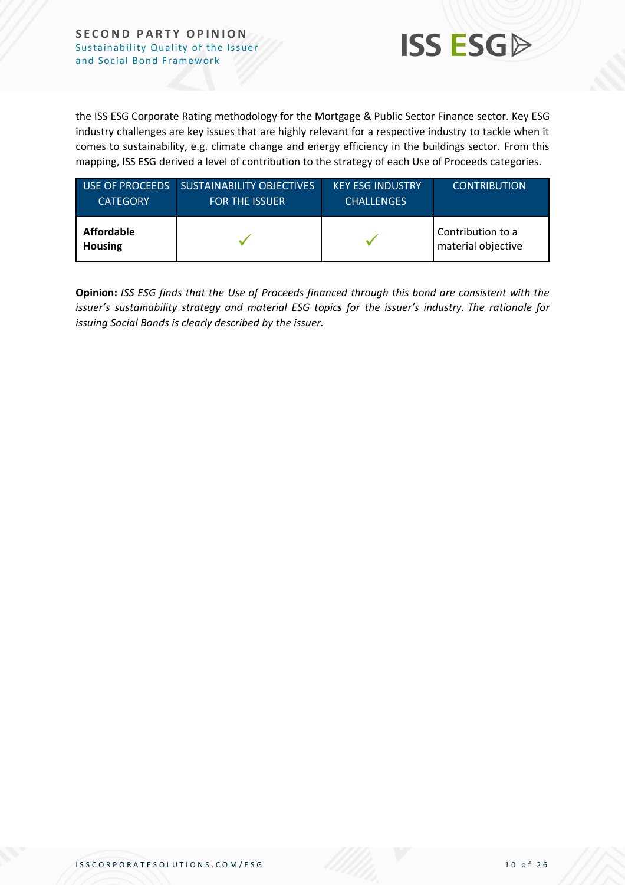

the ISS ESG Corporate Rating methodology for the Mortgage & Public Sector Finance sector. Key ESG industry challenges are key issues that are highly relevant for a respective industry to tackle when it comes to sustainability, e.g. climate change and energy efficiency in the buildings sector. From this mapping, ISS ESG derived a level of contribution to the strategy of each Use of Proceeds categories.

| USE OF PROCEEDS              | <b>SUSTAINABILITY OBJECTIVES</b> | <b>KEY ESG INDUSTRY</b> | <b>CONTRIBUTION</b>                     |
|------------------------------|----------------------------------|-------------------------|-----------------------------------------|
| <b>CATEGORY</b>              | <b>FOR THE ISSUER</b>            | <b>CHALLENGES</b>       |                                         |
| Affordable<br><b>Housing</b> |                                  |                         | Contribution to a<br>material objective |

**Opinion:** *ISS ESG finds that the Use of Proceeds financed through this bond are consistent with the issuer's sustainability strategy and material ESG topics for the issuer's industry. The rationale for issuing Social Bonds is clearly described by the issuer.*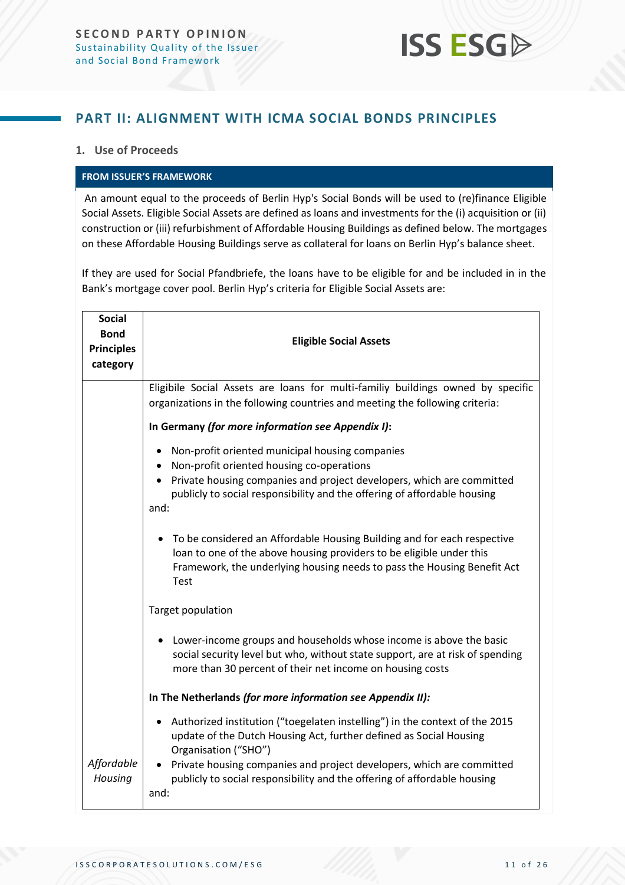

### <span id="page-10-0"></span>**PART II: ALIGNMENT WITH ICMA SOCIAL BONDS PRINCIPLES**

#### **1. Use of Proceeds**

#### **FROM ISSUER'S FRAMEWORK**

An amount equal to the proceeds of Berlin Hyp's Social Bonds will be used to (re)finance Eligible Social Assets. Eligible Social Assets are defined as loans and investments for the (i) acquisition or (ii) construction or (iii) refurbishment of Affordable Housing Buildings as defined below. The mortgages on these Affordable Housing Buildings serve as collateral for loans on Berlin Hyp's balance sheet.

If they are used for Social Pfandbriefe, the loans have to be eligible for and be included in in the Bank's mortgage cover pool. Berlin Hyp's criteria for Eligible Social Assets are:

| <b>Social</b><br><b>Bond</b><br><b>Principles</b><br>category | <b>Eligible Social Assets</b>                                                                                                                                                                                                                             |
|---------------------------------------------------------------|-----------------------------------------------------------------------------------------------------------------------------------------------------------------------------------------------------------------------------------------------------------|
|                                                               | Eligibile Social Assets are loans for multi-familiy buildings owned by specific<br>organizations in the following countries and meeting the following criteria:                                                                                           |
|                                                               | In Germany (for more information see Appendix I):                                                                                                                                                                                                         |
|                                                               | Non-profit oriented municipal housing companies<br>Non-profit oriented housing co-operations<br>Private housing companies and project developers, which are committed<br>publicly to social responsibility and the offering of affordable housing<br>and: |
|                                                               | To be considered an Affordable Housing Building and for each respective<br>loan to one of the above housing providers to be eligible under this<br>Framework, the underlying housing needs to pass the Housing Benefit Act<br>Test                        |
|                                                               | Target population                                                                                                                                                                                                                                         |
|                                                               | Lower-income groups and households whose income is above the basic<br>social security level but who, without state support, are at risk of spending<br>more than 30 percent of their net income on housing costs                                          |
|                                                               | In The Netherlands (for more information see Appendix II):                                                                                                                                                                                                |
|                                                               | Authorized institution ("toegelaten instelling") in the context of the 2015<br>update of the Dutch Housing Act, further defined as Social Housing<br>Organisation ("SHO")                                                                                 |
| Affordable<br>Housing                                         | • Private housing companies and project developers, which are committed<br>publicly to social responsibility and the offering of affordable housing<br>and:                                                                                               |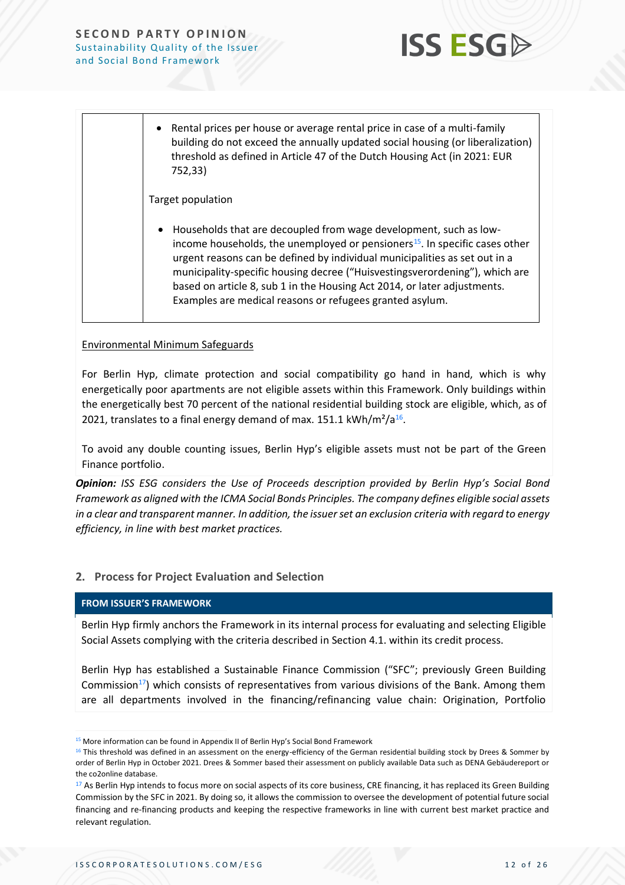

• Rental prices per house or average rental price in case of a multi-family building do not exceed the annually updated social housing (or liberalization) threshold as defined in Article 47 of the Dutch Housing Act (in 2021: EUR 752,33)

Target population

• Households that are decoupled from wage development, such as lowincome households, the unemployed or pensioners<sup>15</sup>. In specific cases other urgent reasons can be defined by individual municipalities as set out in a municipality-specific housing decree ("Huisvestingsverordening"), which are based on article 8, sub 1 in the Housing Act 2014, or later adjustments. Examples are medical reasons or refugees granted asylum.

#### Environmental Minimum Safeguards

For Berlin Hyp, climate protection and social compatibility go hand in hand, which is why energetically poor apartments are not eligible assets within this Framework. Only buildings within the energetically best 70 percent of the national residential building stock are eligible, which, as of 2021, translates to a final energy demand of max. 151.1 kWh/m<sup>2</sup>/a<sup>16</sup>.

To avoid any double counting issues, Berlin Hyp's eligible assets must not be part of the Green Finance portfolio.

*Opinion: ISS ESG considers the Use of Proceeds description provided by Berlin Hyp's Social Bond Framework as aligned with the ICMA Social Bonds Principles. The company defines eligible social assets in a clear and transparent manner. In addition, the issuerset an exclusion criteria with regard to energy efficiency, in line with best market practices.*

#### **2. Process for Project Evaluation and Selection**

#### **FROM ISSUER'S FRAMEWORK**

Berlin Hyp firmly anchors the Framework in its internal process for evaluating and selecting Eligible Social Assets complying with the criteria described in Section 4.1. within its credit process.

Berlin Hyp has established a Sustainable Finance Commission ("SFC"; previously Green Building Commission<sup>17</sup>) which consists of representatives from various divisions of the Bank. Among them are all departments involved in the financing/refinancing value chain: Origination, Portfolio

<sup>&</sup>lt;sup>15</sup> More information can be found in Appendix II of Berlin Hyp's Social Bond Framework

<sup>&</sup>lt;sup>16</sup> This threshold was defined in an assessment on the energy-efficiency of the German residential building stock by Drees & Sommer by order of Berlin Hyp in October 2021. Drees & Sommer based their assessment on publicly available Data such as DENA Gebäudereport or the co2online database.

<sup>17</sup> As Berlin Hyp intends to focus more on social aspects of its core business, CRE financing, it has replaced its Green Building Commission by the SFC in 2021. By doing so, it allows the commission to oversee the development of potential future social financing and re-financing products and keeping the respective frameworks in line with current best market practice and relevant regulation.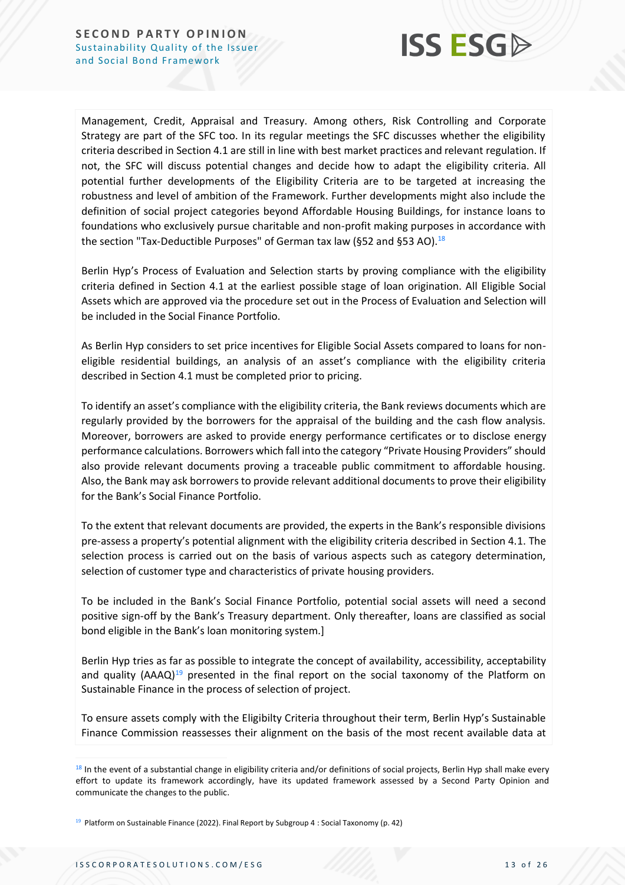

Management, Credit, Appraisal and Treasury. Among others, Risk Controlling and Corporate Strategy are part of the SFC too. In its regular meetings the SFC discusses whether the eligibility criteria described in Section 4.1 are still in line with best market practices and relevant regulation. If not, the SFC will discuss potential changes and decide how to adapt the eligibility criteria. All potential further developments of the Eligibility Criteria are to be targeted at increasing the robustness and level of ambition of the Framework. Further developments might also include the definition of social project categories beyond Affordable Housing Buildings, for instance loans to foundations who exclusively pursue charitable and non-profit making purposes in accordance with the section "Tax-Deductible Purposes" of German tax law (§52 and §53 AO).<sup>18</sup>

Berlin Hyp's Process of Evaluation and Selection starts by proving compliance with the eligibility criteria defined in Section 4.1 at the earliest possible stage of loan origination. All Eligible Social Assets which are approved via the procedure set out in the Process of Evaluation and Selection will be included in the Social Finance Portfolio.

As Berlin Hyp considers to set price incentives for Eligible Social Assets compared to loans for noneligible residential buildings, an analysis of an asset's compliance with the eligibility criteria described in Section 4.1 must be completed prior to pricing.

To identify an asset's compliance with the eligibility criteria, the Bank reviews documents which are regularly provided by the borrowers for the appraisal of the building and the cash flow analysis. Moreover, borrowers are asked to provide energy performance certificates or to disclose energy performance calculations. Borrowers which fall into the category "Private Housing Providers" should also provide relevant documents proving a traceable public commitment to affordable housing. Also, the Bank may ask borrowers to provide relevant additional documents to prove their eligibility for the Bank's Social Finance Portfolio.

To the extent that relevant documents are provided, the experts in the Bank's responsible divisions pre-assess a property's potential alignment with the eligibility criteria described in Section 4.1. The selection process is carried out on the basis of various aspects such as category determination, selection of customer type and characteristics of private housing providers.

To be included in the Bank's Social Finance Portfolio, potential social assets will need a second positive sign-off by the Bank's Treasury department. Only thereafter, loans are classified as social bond eligible in the Bank's loan monitoring system.]

Berlin Hyp tries as far as possible to integrate the concept of availability, accessibility, acceptability and quality  $(AAAQ)^{19}$  presented in the final report on the social taxonomy of the Platform on Sustainable Finance in the process of selection of project.

To ensure assets comply with the Eligibilty Criteria throughout their term, Berlin Hyp's Sustainable Finance Commission reassesses their alignment on the basis of the most recent available data at

<sup>&</sup>lt;sup>18</sup> In the event of a substantial change in eligibility criteria and/or definitions of social projects, Berlin Hyp shall make every effort to update its framework accordingly, have its updated framework assessed by a Second Party Opinion and communicate the changes to the public.

<sup>&</sup>lt;sup>19</sup> Platform on Sustainable Finance (2022). Final Report by Subgroup 4 : Social Taxonomy (p. 42)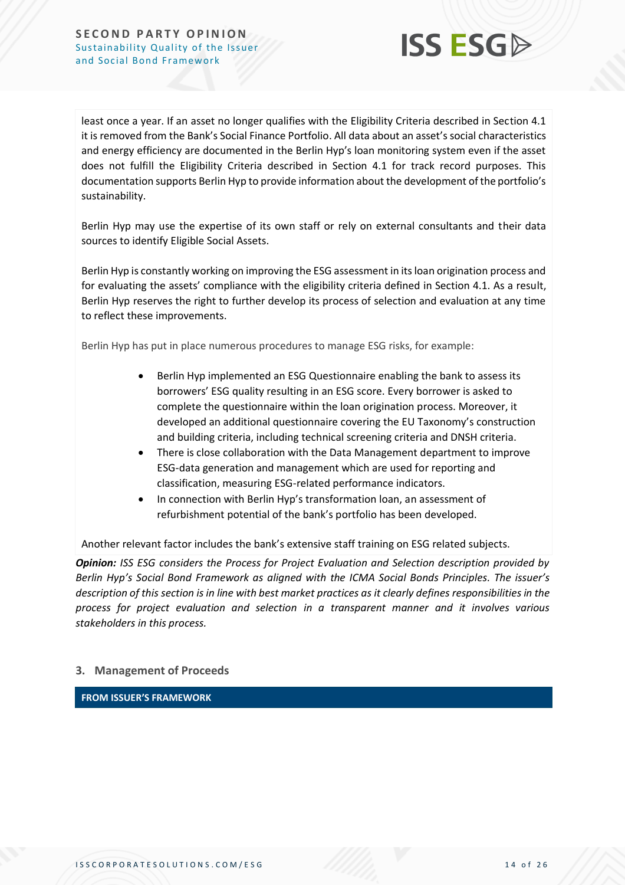

least once a year. If an asset no longer qualifies with the Eligibility Criteria described in Section 4.1 it is removed from the Bank's Social Finance Portfolio. All data about an asset's social characteristics and energy efficiency are documented in the Berlin Hyp's loan monitoring system even if the asset does not fulfill the Eligibility Criteria described in Section 4.1 for track record purposes. This documentation supports Berlin Hyp to provide information about the development of the portfolio's sustainability.

Berlin Hyp may use the expertise of its own staff or rely on external consultants and their data sources to identify Eligible Social Assets.

Berlin Hyp is constantly working on improving the ESG assessment in its loan origination process and for evaluating the assets' compliance with the eligibility criteria defined in Section 4.1. As a result, Berlin Hyp reserves the right to further develop its process of selection and evaluation at any time to reflect these improvements.

Berlin Hyp has put in place numerous procedures to manage ESG risks, for example:

- Berlin Hyp implemented an ESG Questionnaire enabling the bank to assess its borrowers' ESG quality resulting in an ESG score. Every borrower is asked to complete the questionnaire within the loan origination process. Moreover, it developed an additional questionnaire covering the EU Taxonomy's construction and building criteria, including technical screening criteria and DNSH criteria.
- There is close collaboration with the Data Management department to improve ESG-data generation and management which are used for reporting and classification, measuring ESG-related performance indicators.
- In connection with Berlin Hyp's transformation loan, an assessment of refurbishment potential of the bank's portfolio has been developed.

Another relevant factor includes the bank's extensive staff training on ESG related subjects.

*Opinion: ISS ESG considers the Process for Project Evaluation and Selection description provided by Berlin Hyp's Social Bond Framework as aligned with the ICMA Social Bonds Principles. The issuer's description of this section is in line with best market practices as it clearly defines responsibilities in the process for project evaluation and selection in a transparent manner and it involves various stakeholders in this process.* 

#### **3. Management of Proceeds**

**FROM ISSUER'S FRAMEWORK**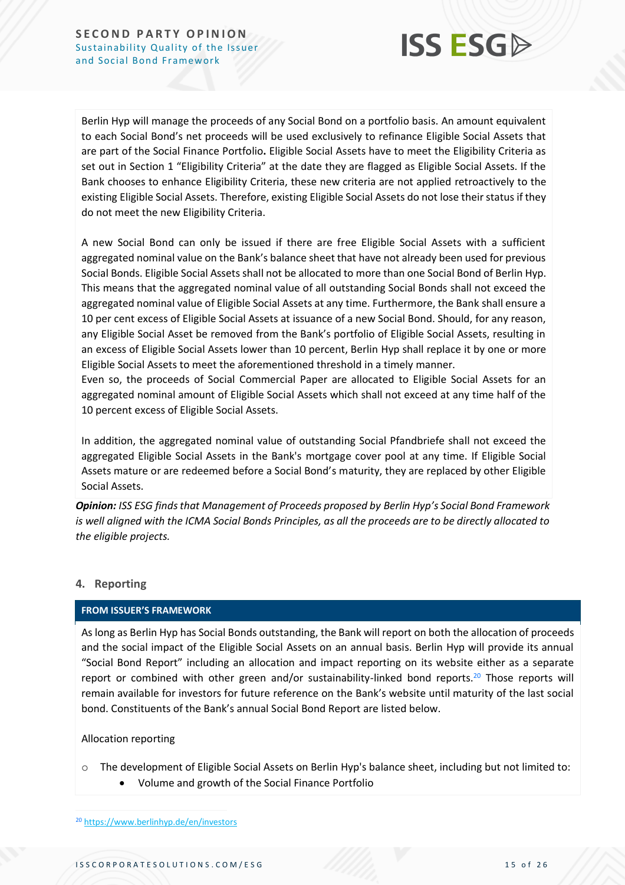

Berlin Hyp will manage the proceeds of any Social Bond on a portfolio basis. An amount equivalent to each Social Bond's net proceeds will be used exclusively to refinance Eligible Social Assets that are part of the Social Finance Portfolio**.** Eligible Social Assets have to meet the Eligibility Criteria as set out in Section 1 "Eligibility Criteria" at the date they are flagged as Eligible Social Assets. If the Bank chooses to enhance Eligibility Criteria, these new criteria are not applied retroactively to the existing Eligible Social Assets. Therefore, existing Eligible Social Assets do not lose their status if they do not meet the new Eligibility Criteria.

A new Social Bond can only be issued if there are free Eligible Social Assets with a sufficient aggregated nominal value on the Bank's balance sheet that have not already been used for previous Social Bonds. Eligible Social Assets shall not be allocated to more than one Social Bond of Berlin Hyp. This means that the aggregated nominal value of all outstanding Social Bonds shall not exceed the aggregated nominal value of Eligible Social Assets at any time. Furthermore, the Bank shall ensure a 10 per cent excess of Eligible Social Assets at issuance of a new Social Bond. Should, for any reason, any Eligible Social Asset be removed from the Bank's portfolio of Eligible Social Assets, resulting in an excess of Eligible Social Assets lower than 10 percent, Berlin Hyp shall replace it by one or more Eligible Social Assets to meet the aforementioned threshold in a timely manner.

Even so, the proceeds of Social Commercial Paper are allocated to Eligible Social Assets for an aggregated nominal amount of Eligible Social Assets which shall not exceed at any time half of the 10 percent excess of Eligible Social Assets.

In addition, the aggregated nominal value of outstanding Social Pfandbriefe shall not exceed the aggregated Eligible Social Assets in the Bank's mortgage cover pool at any time. If Eligible Social Assets mature or are redeemed before a Social Bond's maturity, they are replaced by other Eligible Social Assets.

*Opinion: ISS ESG finds that Management of Proceeds proposed by Berlin Hyp's Social Bond Framework is well aligned with the ICMA Social Bonds Principles, as all the proceeds are to be directly allocated to the eligible projects.* 

#### **4. Reporting**

#### **FROM ISSUER'S FRAMEWORK**

As long as Berlin Hyp has Social Bonds outstanding, the Bank will report on both the allocation of proceeds and the social impact of the Eligible Social Assets on an annual basis. Berlin Hyp will provide its annual "Social Bond Report" including an allocation and impact reporting on its website either as a separate report or combined with other green and/or sustainability-linked bond reports.<sup>20</sup> Those reports will remain available for investors for future reference on the Bank's website until maturity of the last social bond. Constituents of the Bank's annual Social Bond Report are listed below.

#### Allocation reporting

- o The development of Eligible Social Assets on Berlin Hyp's balance sheet, including but not limited to:
	- Volume and growth of the Social Finance Portfolio

<sup>20</sup> <https://www.berlinhyp.de/en/investors>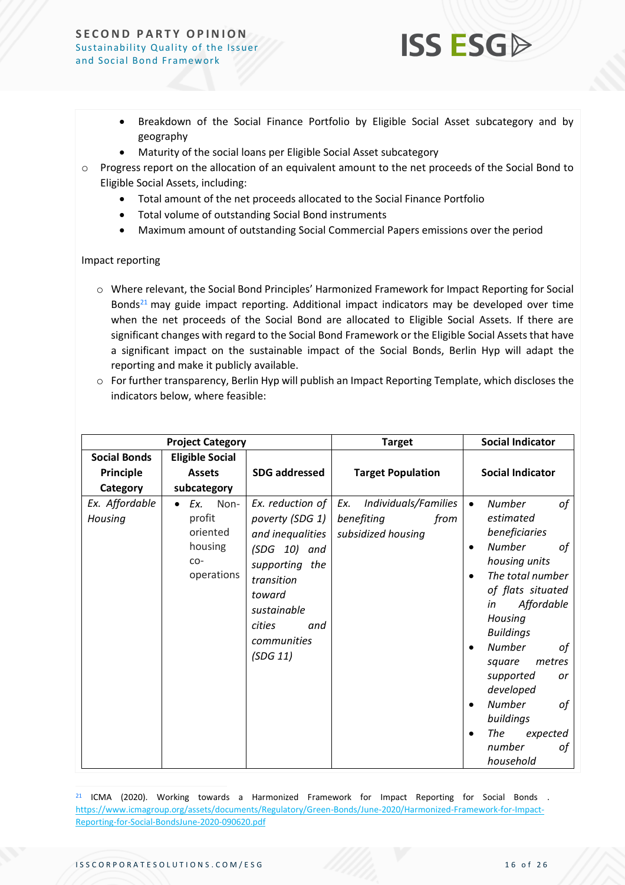• Breakdown of the Social Finance Portfolio by Eligible Social Asset subcategory and by geography

**ISS ESG** 

- Maturity of the social loans per Eligible Social Asset subcategory
- $\circ$  Progress report on the allocation of an equivalent amount to the net proceeds of the Social Bond to Eligible Social Assets, including:
	- Total amount of the net proceeds allocated to the Social Finance Portfolio
	- Total volume of outstanding Social Bond instruments
	- Maximum amount of outstanding Social Commercial Papers emissions over the period

#### Impact reporting

- o Where relevant, the Social Bond Principles' Harmonized Framework for Impact Reporting for Social Bonds<sup>21</sup> may guide impact reporting. Additional impact indicators may be developed over time when the net proceeds of the Social Bond are allocated to Eligible Social Assets. If there are significant changes with regard to the Social Bond Framework or the Eligible Social Assets that have a significant impact on the sustainable impact of the Social Bonds, Berlin Hyp will adapt the reporting and make it publicly available.
- o For further transparency, Berlin Hyp will publish an Impact Reporting Template, which discloses the indicators below, where feasible:

|                                              | <b>Project Category</b>                                                          |                                                                                                                                                                                | <b>Target</b>                                                           | <b>Social Indicator</b>                                                                                                                                                                                                                                                                                                                              |
|----------------------------------------------|----------------------------------------------------------------------------------|--------------------------------------------------------------------------------------------------------------------------------------------------------------------------------|-------------------------------------------------------------------------|------------------------------------------------------------------------------------------------------------------------------------------------------------------------------------------------------------------------------------------------------------------------------------------------------------------------------------------------------|
| <b>Social Bonds</b><br>Principle<br>Category | <b>Eligible Social</b><br><b>Assets</b><br>subcategory                           | <b>SDG addressed</b>                                                                                                                                                           | <b>Target Population</b>                                                | <b>Social Indicator</b>                                                                                                                                                                                                                                                                                                                              |
| Ex. Affordable<br>Housing                    | Ex.<br>Non-<br>$\bullet$<br>profit<br>oriented<br>housing<br>$CO-$<br>operations | Ex. reduction of<br>poverty (SDG 1)<br>and inequalities<br>$(SDG 10)$ and<br>supporting the<br>transition<br>toward<br>sustainable<br>cities<br>and<br>communities<br>(SDG 11) | Individuals/Families<br>Ex.<br>benefiting<br>from<br>subsidized housing | <b>Number</b><br>of<br>estimated<br>beneficiaries<br><b>Number</b><br>of<br>housing units<br>The total number<br>of flats situated<br>Affordable<br>in<br>Housing<br><b>Buildings</b><br><b>Number</b><br>оf<br>metres<br>square<br>supported<br>or<br>developed<br><b>Number</b><br>of<br>buildings<br>The<br>expected<br>number<br>οf<br>household |

 $21$  ICMA (2020). Working towards a Harmonized Framework for Impact Reporting for Social Bonds. [https://www.icmagroup.org/assets/documents/Regulatory/Green-Bonds/June-2020/Harmonized-Framework-for-Impact-](https://www.icmagroup.org/assets/documents/Regulatory/Green-Bonds/June-2020/Harmonized-Framework-for-Impact-Reporting-for-Social-BondsJune-2020-090620.pdf)[Reporting-for-Social-BondsJune-2020-090620.pdf](https://www.icmagroup.org/assets/documents/Regulatory/Green-Bonds/June-2020/Harmonized-Framework-for-Impact-Reporting-for-Social-BondsJune-2020-090620.pdf)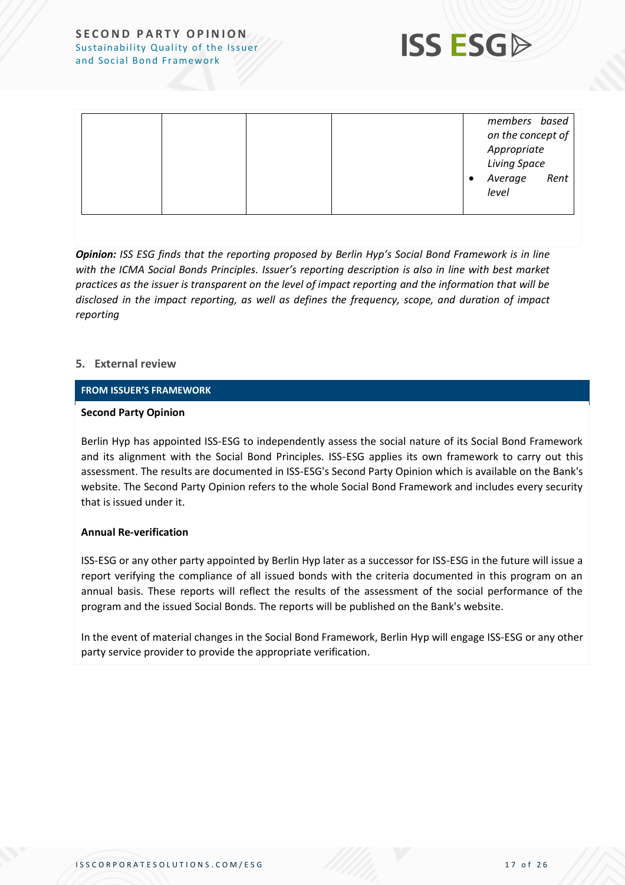

|--|

*Opinion: ISS ESG finds that the reporting proposed by Berlin Hyp's Social Bond Framework is in line with the ICMA Social Bonds Principles. Issuer's reporting description is also in line with best market practices as the issuer is transparent on the level of impact reporting and the information that will be disclosed in the impact reporting, as well as defines the frequency, scope, and duration of impact reporting*

#### **5. External review**

#### **FROM ISSUER'S FRAMEWORK**

#### **Second Party Opinion**

Berlin Hyp has appointed ISS-ESG to independently assess the social nature of its Social Bond Framework and its alignment with the Social Bond Principles. ISS-ESG applies its own framework to carry out this assessment. The results are documented in ISS-ESG's Second Party Opinion which is available on the Bank's website. The Second Party Opinion refers to the whole Social Bond Framework and includes every security that is issued under it.

#### **Annual Re-verification**

ISS-ESG or any other party appointed by Berlin Hyp later as a successor for ISS-ESG in the future will issue a report verifying the compliance of all issued bonds with the criteria documented in this program on an annual basis. These reports will reflect the results of the assessment of the social performance of the program and the issued Social Bonds. The reports will be published on the Bank's website.

In the event of material changes in the Social Bond Framework, Berlin Hyp will engage ISS-ESG or any other party service provider to provide the appropriate verification.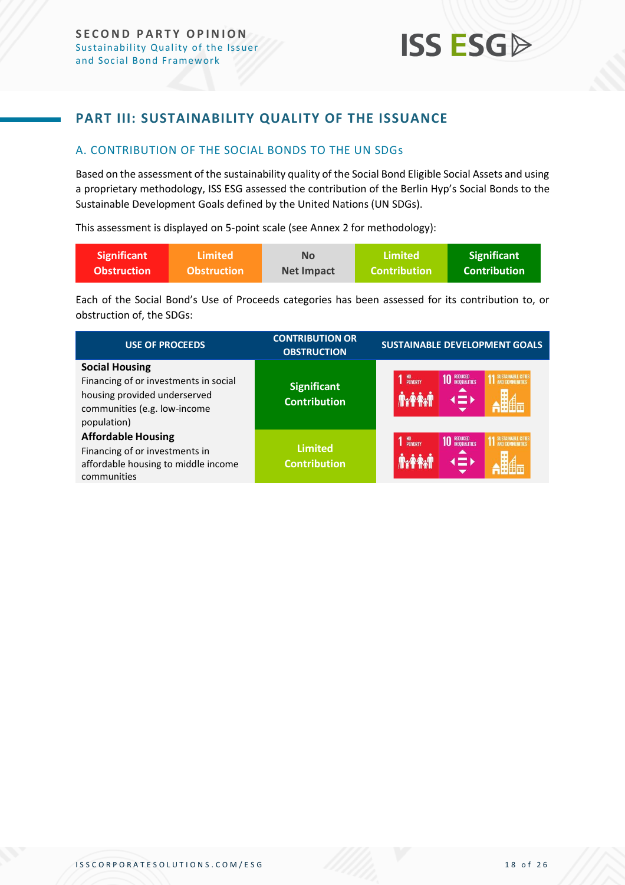### <span id="page-17-0"></span>**PART III: SUSTAINABILITY QUALITY OF THE ISSUANCE**

#### <span id="page-17-1"></span>A. CONTRIBUTION OF THE SOCIAL BONDS TO THE UN SDGs

Based on the assessment of the sustainability quality of the Social Bond Eligible Social Assets and using a proprietary methodology, ISS ESG assessed the contribution of the Berlin Hyp's Social Bonds to the Sustainable Development Goals defined by the United Nations (UN SDGs).

This assessment is displayed on 5-point scale (see Annex 2 for methodology):

| <b>Significant</b> | Limited <b>\</b>   | <b>No</b>         | Limited             | <b>Significant</b> |
|--------------------|--------------------|-------------------|---------------------|--------------------|
| <b>Obstruction</b> | <b>Obstruction</b> | <b>Net Impact</b> | <b>Contribution</b> | Contribution \     |

Each of the Social Bond's Use of Proceeds categories has been assessed for its contribution to, or obstruction of, the SDGs:

| <b>USE OF PROCEEDS</b>                                                                                                                        | <b>CONTRIBUTION OR</b><br><b>OBSTRUCTION</b> | <b>SUSTAINABLE DEVELOPMENT GOALS</b>                                                     |
|-----------------------------------------------------------------------------------------------------------------------------------------------|----------------------------------------------|------------------------------------------------------------------------------------------|
| <b>Social Housing</b><br>Financing of or investments in social<br>housing provided underserved<br>communities (e.g. low-income<br>population) | <b>Significant</b><br><b>Contribution</b>    | NO<br>POVERTY<br><b>10 REDUCED</b><br><b>SUSTAINABLE CITE</b><br>$\left( \equiv \right)$ |
| <b>Affordable Housing</b><br>Financing of or investments in<br>affordable housing to middle income<br>communities                             | <b>Limited</b><br><b>Contribution</b>        | NO<br>POVERTY<br><b>10 REDUCED</b><br><b>SUSTAINABLE CITY</b><br>$\blacksquare$          |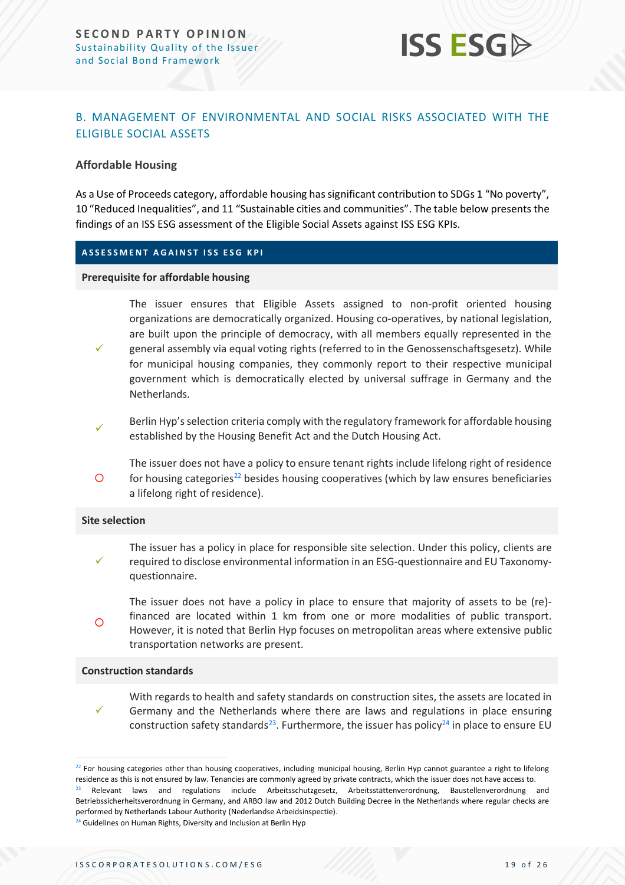

#### <span id="page-18-0"></span>B. MANAGEMENT OF ENVIRONMENTAL AND SOCIAL RISKS ASSOCIATED WITH THE ELIGIBLE SOCIAL ASSETS

#### **Affordable Housing**

As a Use of Proceeds category, affordable housing has significant contribution to SDGs 1 "No poverty", 10 "Reduced Inequalities", and 11 "Sustainable cities and communities". The table below presents the findings of an ISS ESG assessment of the Eligible Social Assets against ISS ESG KPIs.

#### **A S S E S S M E N T A G A I N S T I S S E S G K P I**

#### **Prerequisite for affordable housing**

- The issuer ensures that Eligible Assets assigned to non-profit oriented housing organizations are democratically organized. Housing co-operatives, by national legislation, are built upon the principle of democracy, with all members equally represented in the general assembly via equal voting rights (referred to in the Genossenschaftsgesetz). While
- ✓ for municipal housing companies, they commonly report to their respective municipal government which is democratically elected by universal suffrage in Germany and the Netherlands.
- ✓ Berlin Hyp'sselection criteria comply with the regulatory framework for affordable housing established by the Housing Benefit Act and the Dutch Housing Act.
- $\circ$ The issuer does not have a policy to ensure tenant rights include lifelong right of residence for housing categories $^{22}$  besides housing cooperatives (which by law ensures beneficiaries a lifelong right of residence).

#### **Site selection**

- ✓ The issuer has a policy in place for responsible site selection. Under this policy, clients are required to disclose environmental information in an ESG-questionnaire and EU Taxonomyquestionnaire.
- $\Omega$ The issuer does not have a policy in place to ensure that majority of assets to be (re) financed are located within 1 km from one or more modalities of public transport. However, it is noted that Berlin Hyp focuses on metropolitan areas where extensive public transportation networks are present.

#### **Construction standards**

✓ With regards to health and safety standards on construction sites, the assets are located in Germany and the Netherlands where there are laws and regulations in place ensuring construction safety standards<sup>23</sup>. Furthermore, the issuer has policy<sup>24</sup> in place to ensure EU

 $22$  For housing categories other than housing cooperatives, including municipal housing, Berlin Hyp cannot guarantee a right to lifelong residence as this is not ensured by law. Tenancies are commonly agreed by private contracts, which the issuer does not have access to.

 $23$  Relevant laws and regulations include Arbeitsschutzgesetz, Arbeitsstättenverordnung, Baustellenverordnung and Betriebssicherheitsverordnung in Germany, and ARBO law and 2012 Dutch Building Decree in the Netherlands where regular checks are performed by Netherlands Labour Authority (Nederlandse Arbeidsinspectie).

<sup>&</sup>lt;sup>24</sup> Guidelines on Human Rights, Diversity and Inclusion at Berlin Hyp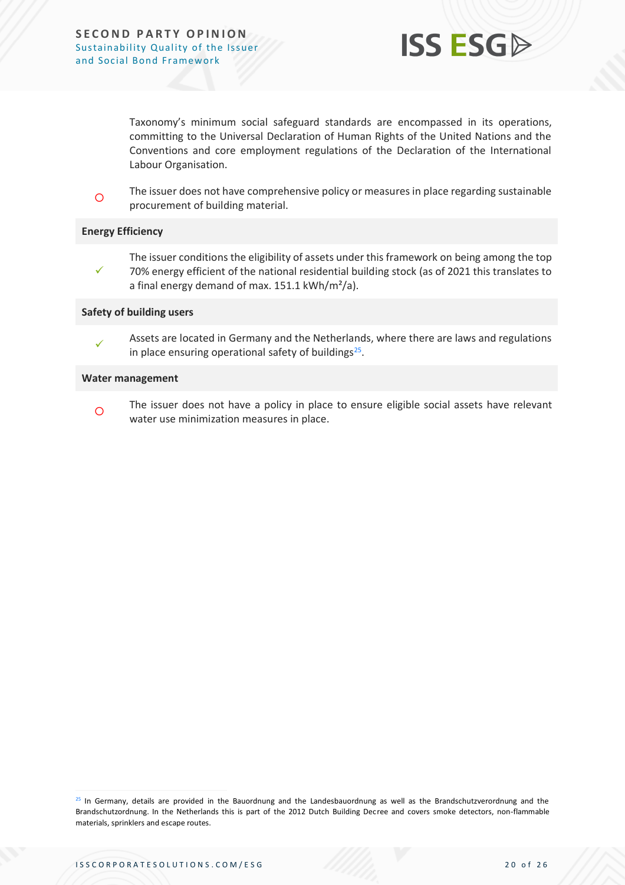

Taxonomy's minimum social safeguard standards are encompassed in its operations, committing to the Universal Declaration of Human Rights of the United Nations and the Conventions and core employment regulations of the Declaration of the International Labour Organisation.

 $\circ$ The issuer does not have comprehensive policy or measures in place regarding sustainable procurement of building material.

#### **Energy Efficiency**

✓ The issuer conditions the eligibility of assets under this framework on being among the top 70% energy efficient of the national residential building stock (as of 2021 this translates to a final energy demand of max. 151.1 kWh/m²/a).

#### **Safety of building users**

✓ Assets are located in Germany and the Netherlands, where there are laws and regulations in place ensuring operational safety of buildings<sup>25</sup>.

#### **Water management**

 $\Omega$ The issuer does not have a policy in place to ensure eligible social assets have relevant water use minimization measures in place.

<sup>&</sup>lt;sup>25</sup> In Germany, details are provided in the Bauordnung and the Landesbauordnung as well as the Brandschutzverordnung and the Brandschutzordnung. In the Netherlands this is part of the 2012 Dutch Building Decree and covers smoke detectors, non-flammable materials, sprinklers and escape routes.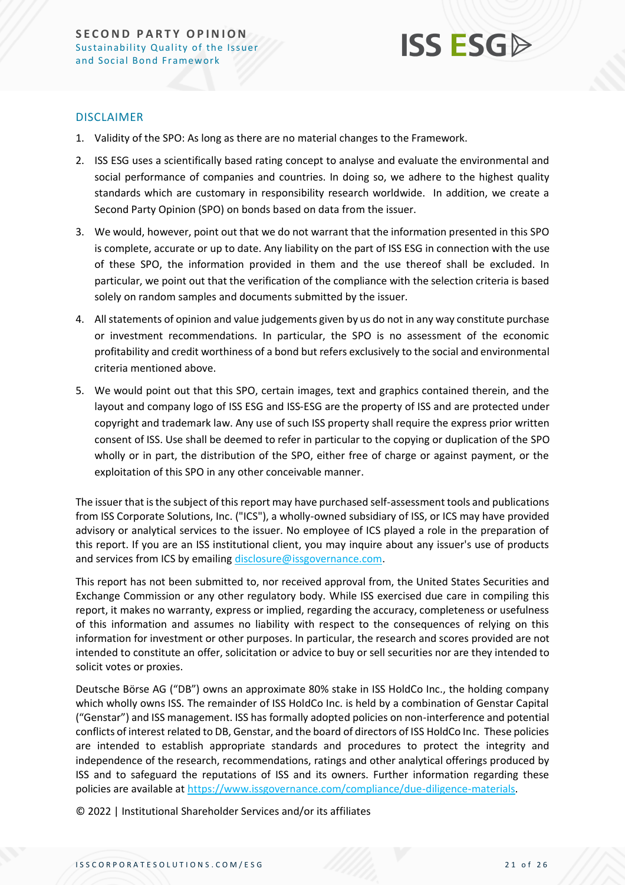

#### DISCLAIMER

- 1. Validity of the SPO: As long as there are no material changes to the Framework.
- 2. ISS ESG uses a scientifically based rating concept to analyse and evaluate the environmental and social performance of companies and countries. In doing so, we adhere to the highest quality standards which are customary in responsibility research worldwide. In addition, we create a Second Party Opinion (SPO) on bonds based on data from the issuer.
- 3. We would, however, point out that we do not warrant that the information presented in this SPO is complete, accurate or up to date. Any liability on the part of ISS ESG in connection with the use of these SPO, the information provided in them and the use thereof shall be excluded. In particular, we point out that the verification of the compliance with the selection criteria is based solely on random samples and documents submitted by the issuer.
- 4. All statements of opinion and value judgements given by us do not in any way constitute purchase or investment recommendations. In particular, the SPO is no assessment of the economic profitability and credit worthiness of a bond but refers exclusively to the social and environmental criteria mentioned above.
- 5. We would point out that this SPO, certain images, text and graphics contained therein, and the layout and company logo of ISS ESG and ISS-ESG are the property of ISS and are protected under copyright and trademark law. Any use of such ISS property shall require the express prior written consent of ISS. Use shall be deemed to refer in particular to the copying or duplication of the SPO wholly or in part, the distribution of the SPO, either free of charge or against payment, or the exploitation of this SPO in any other conceivable manner.

The issuer that is the subject of this report may have purchased self-assessment tools and publications from ISS Corporate Solutions, Inc. ("ICS"), a wholly-owned subsidiary of ISS, or ICS may have provided advisory or analytical services to the issuer. No employee of ICS played a role in the preparation of this report. If you are an ISS institutional client, you may inquire about any issuer's use of products and services from ICS by emailing [disclosure@issgovernance.com.](mailto:disclosure@issgovernance.com)

This report has not been submitted to, nor received approval from, the United States Securities and Exchange Commission or any other regulatory body. While ISS exercised due care in compiling this report, it makes no warranty, express or implied, regarding the accuracy, completeness or usefulness of this information and assumes no liability with respect to the consequences of relying on this information for investment or other purposes. In particular, the research and scores provided are not intended to constitute an offer, solicitation or advice to buy or sell securities nor are they intended to solicit votes or proxies.

Deutsche Börse AG ("DB") owns an approximate 80% stake in ISS HoldCo Inc., the holding company which wholly owns ISS. The remainder of ISS HoldCo Inc. is held by a combination of Genstar Capital ("Genstar") and ISS management. ISS has formally adopted policies on non-interference and potential conflicts of interest related to DB, Genstar, and the board of directors of ISS HoldCo Inc. These policies are intended to establish appropriate standards and procedures to protect the integrity and independence of the research, recommendations, ratings and other analytical offerings produced by ISS and to safeguard the reputations of ISS and its owners. Further information regarding these policies are available at [https://www.issgovernance.com/compliance/due-diligence-materials.](https://www.issgovernance.com/compliance/due-diligence-materials)

© 2022 | Institutional Shareholder Services and/or its affiliates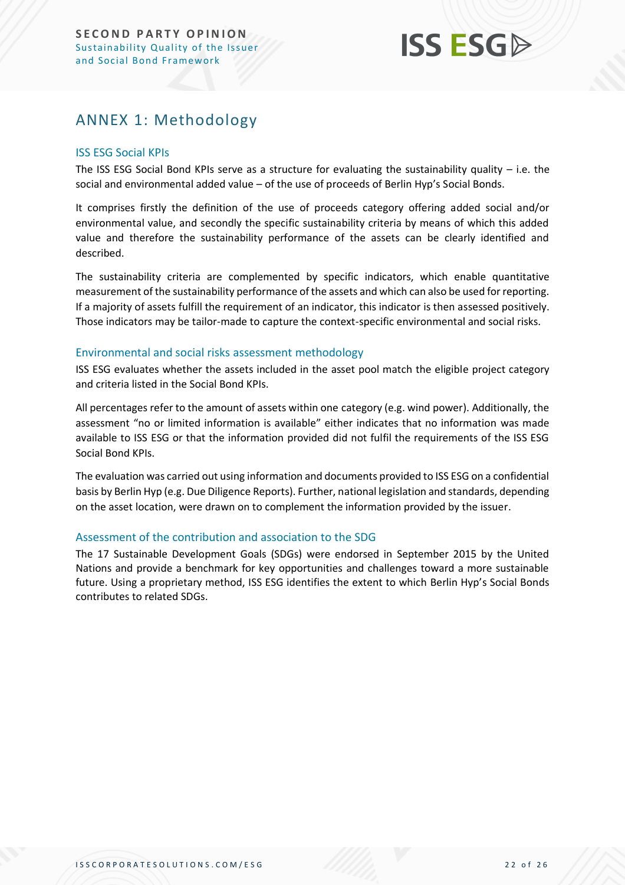## <span id="page-21-0"></span>ANNEX 1: Methodology

#### ISS ESG Social KPIs

The ISS ESG Social Bond KPIs serve as a structure for evaluating the sustainability quality – i.e. the social and environmental added value – of the use of proceeds of Berlin Hyp's Social Bonds.

It comprises firstly the definition of the use of proceeds category offering added social and/or environmental value, and secondly the specific sustainability criteria by means of which this added value and therefore the sustainability performance of the assets can be clearly identified and described.

The sustainability criteria are complemented by specific indicators, which enable quantitative measurement of the sustainability performance of the assets and which can also be used for reporting. If a majority of assets fulfill the requirement of an indicator, this indicator is then assessed positively. Those indicators may be tailor-made to capture the context-specific environmental and social risks.

#### Environmental and social risks assessment methodology

ISS ESG evaluates whether the assets included in the asset pool match the eligible project category and criteria listed in the Social Bond KPIs.

All percentages refer to the amount of assets within one category (e.g. wind power). Additionally, the assessment "no or limited information is available" either indicates that no information was made available to ISS ESG or that the information provided did not fulfil the requirements of the ISS ESG Social Bond KPIs.

The evaluation was carried out using information and documents provided to ISS ESG on a confidential basis by Berlin Hyp (e.g. Due Diligence Reports). Further, national legislation and standards, depending on the asset location, were drawn on to complement the information provided by the issuer.

#### Assessment of the contribution and association to the SDG

The 17 Sustainable Development Goals (SDGs) were endorsed in September 2015 by the United Nations and provide a benchmark for key opportunities and challenges toward a more sustainable future. Using a proprietary method, ISS ESG identifies the extent to which Berlin Hyp's Social Bonds contributes to related SDGs.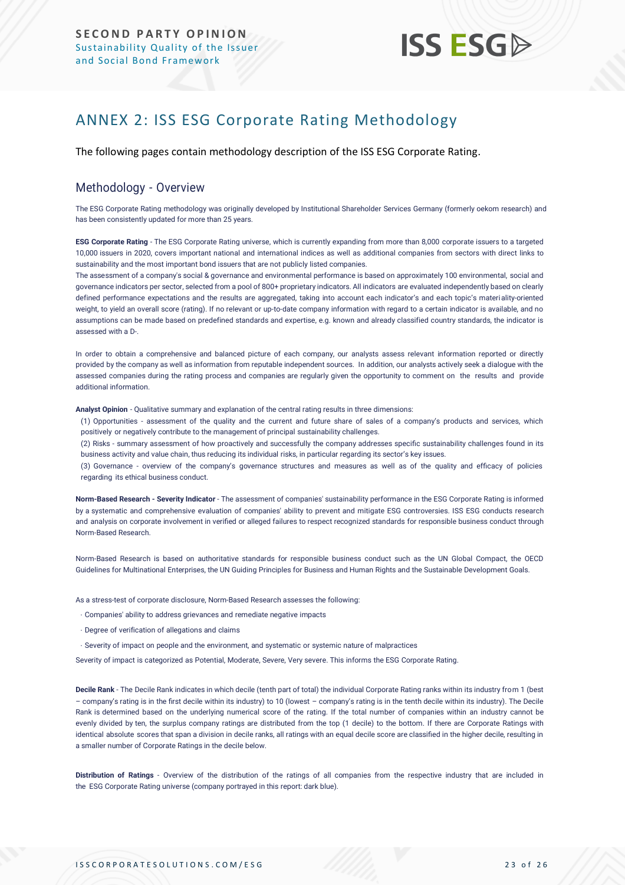## <span id="page-22-0"></span>ANNEX 2: ISS ESG Corporate Rating Methodology

The following pages contain methodology description of the ISS ESG Corporate Rating.

#### Methodology - Overview

The ESG Corporate Rating methodology was originally developed by Institutional Shareholder Services Germany (formerly oekom research) and has been consistently updated for more than 25 years.

**ESG Corporate Rating** - The ESG Corporate Rating universe, which is currently expanding from more than 8,000 corporate issuers to a targeted 10,000 issuers in 2020, covers important national and international indices as well as additional companies from sectors with direct links to sustainability and the most important bond issuers that are not publicly listed companies.

The assessment of a company's social & governance and environmental performance is based on approximately 100 environmental, social and governance indicators per sector, selected from a pool of 800+ proprietary indicators. All indicators are evaluated independently based on clearly defined performance expectations and the results are aggregated, taking into account each indicator's and each topic's materiality-oriented weight, to yield an overall score (rating). If no relevant or up-to-date company information with regard to a certain indicator is available, and no assumptions can be made based on predefined standards and expertise, e.g. known and already classified country standards, the indicator is assessed with a D-.

In order to obtain a comprehensive and balanced picture of each company, our analysts assess relevant information reported or directly provided by the company as well as information from reputable independent sources. In addition, our analysts actively seek a dialogue with the assessed companies during the rating process and companies are regularly given the opportunity to comment on the results and provide additional information.

**Analyst Opinion** - Qualitative summary and explanation of the central rating results in three dimensions:

(1) Opportunities - assessment of the quality and the current and future share of sales of a company's products and services, which positively or negatively contribute to the management of principal sustainability challenges.

(2) Risks - summary assessment of how proactively and successfully the company addresses specific sustainability challenges found in its business activity and value chain, thus reducing its individual risks, in particular regarding its sector's key issues.

(3) Governance - overview of the company's governance structures and measures as well as of the quality and efficacy of policies regarding its ethical business conduct.

**Norm-Based Research - Severity Indicator** - The assessment of companies' sustainability performance in the ESG Corporate Rating is informed by a systematic and comprehensive evaluation of companies' ability to prevent and mitigate ESG controversies. ISS ESG conducts research and analysis [on corporate involvement in verified or alleged failures to respect recognized standards](https://www.issgovernance.com/esg/screening/esg-screening-solutions/#nbr_techdoc_download) for responsible business conduct through [Norm-Based](https://www.issgovernance.com/esg/screening/esg-screening-solutions/#nbr_techdoc_download) Research.

Norm-Based Research is based on authoritative standards for responsible business conduct such as the UN Global Compact, the OECD Guidelines for Multinational Enterprises, the UN Guiding Principles for Business and Human Rights and the Sustainable Development Goals.

As a stress-test of corporate disclosure, Norm-Based Research assesses the following:

- Companies' ability to address grievances and remediate negative impacts
- Degree of verification of allegations and claims
- Severity of impact on people and the environment, and systematic or systemic nature of malpractices

Severity of impact is categorized as Potential, Moderate, Severe, Very severe. This informs the ESG Corporate Rating.

**Decile Rank** - The Decile Rank indicates in which decile (tenth part of total) the individual Corporate Rating ranks within its industry from 1 (best – company's rating is in the first decile within its industry) to 10 (lowest – company's rating is in the tenth decile within its industry). The Decile Rank is determined based on the underlying numerical score of the rating. If the total number of companies within an industry cannot be evenly divided by ten, the surplus company ratings are distributed from the top (1 decile) to the bottom. If there are Corporate Ratings with identical absolute scores that span a division in decile ranks, all ratings with an equal decile score are classified in the higher decile, resulting in a smaller number of Corporate Ratings in the decile below.

**Distribution of Ratings** - Overview of the distribution of the ratings of all companies from the respective industry that are included in the ESG Corporate Rating universe (company portrayed in this report: dark blue).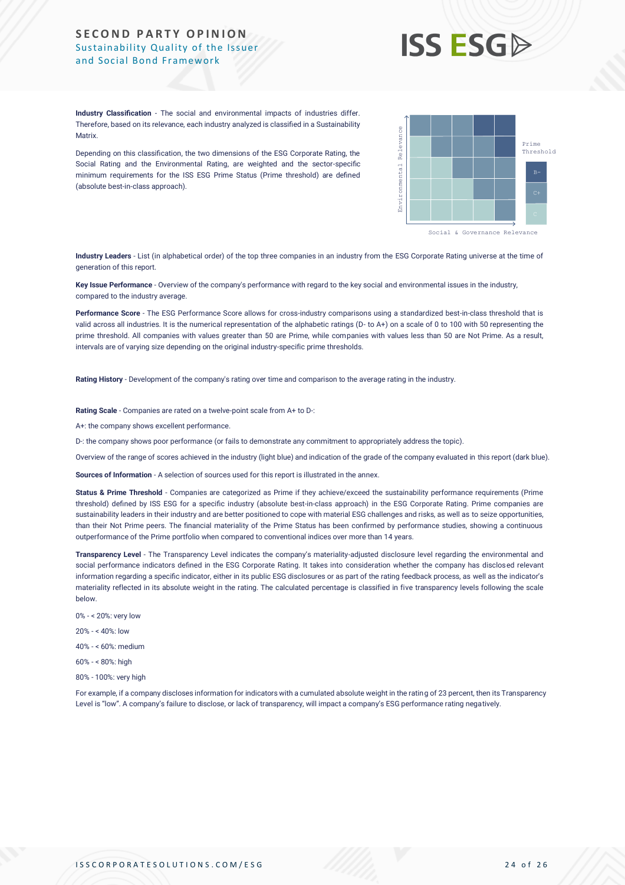

**Industry Classification** - The social and environmental impacts of industries differ. Therefore, based on its relevance, each industry analyzed is classified in a Sustainability **Matrix** 

Depending on this classification, the two dimensions of the ESG Corporate Rating, the Social Rating and the Environmental Rating, are weighted and the sector-specific minimum requirements for the ISS ESG Prime Status (Prime threshold) are defined (absolute best-in-class approach).



**Industry Leaders** - List (in alphabetical order) of the top three companies in an industry from the ESG Corporate Rating universe at the time of generation of this report.

**Key Issue Performance** - Overview of the company's performance with regard to the key social and environmental issues in the industry, compared to the industry average.

**Performance Score** - The ESG Performance Score allows for cross-industry comparisons using a standardized best-in-class threshold that is valid across all industries. It is the numerical representation of the alphabetic ratings (D- to A+) on a scale of 0 to 100 with 50 representing the prime threshold. All companies with values greater than 50 are Prime, while companies with values less than 50 are Not Prime. As a result, intervals are of varying size depending on the original industry-specific prime thresholds.

**Rating History** - Development of the company's rating over time and comparison to the average rating in the industry.

**Rating Scale** - Companies are rated on a twelve-point scale from A+ to D-:

A+: the company shows excellent performance.

D-: the company shows poor performance (or fails to demonstrate any commitment to appropriately address the topic).

Overview of the range of scores achieved in the industry (light blue) and indication of the grade of the company evaluated in this report (dark blue).

**Sources of Information** - A selection of sources used for this report is illustrated in the annex.

Status & Prime Threshold - Companies are categorized as Prime if they achieve/exceed the sustainability performance requirements (Prime threshold) defined by ISS ESG for a specific industry (absolute best-in-class approach) in the ESG Corporate Rating. Prime companies are sustainability leaders in their industry and are better positioned to cope with material ESG challenges and risks, as well as to seize opportunities, than their Not Prime peers. The financial materiality of the Prime Status has been confirmed by performance studies, showing a continuous outperformance of the Prime portfolio when compared to conventional indices over more than 14 years. Level is the main the company three of the form of the state of transparency is a company's factorized the main the company's properties. The company's properties of the company's properties of the company's properties of

**Transparency Level** - The Transparency Level indicates the company's materiality-adjusted disclosure level regarding the environmental and social performance indicators defined in the ESG Corporate Rating. It takes into consideration whether the company has disclosed relevant information regarding a specific indicator, either in its public ESG disclosures or as part of the rating feedback process, as well as the indicator's materiality reflected in its absolute weight in the rating. The calculated percentage is classified in five transparency levels following the scale below.

- 0% < 20%: very low
- $20% \times 40%$  low
- 40% < 60%: medium
- 60% < 80%: high
- 80% 100%: very high

For example, if a company discloses information for indicators with a cumulated absolute weight in the rating of 23 percent, then its Transparency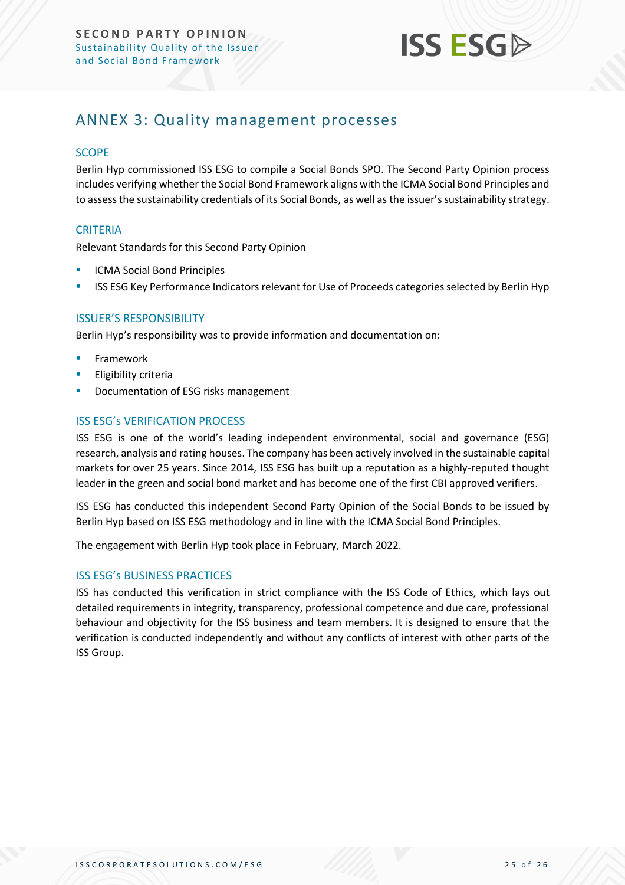

### <span id="page-24-0"></span>ANNEX 3: Quality management processes

#### **SCOPE**

Berlin Hyp commissioned ISS ESG to compile a Social Bonds SPO. The Second Party Opinion process includes verifying whether the Social Bond Framework aligns with the ICMA Social Bond Principles and to assess the sustainability credentials of its Social Bonds, as well as the issuer's sustainability strategy.

#### **CRITERIA**

Relevant Standards for this Second Party Opinion

- **ICMA Social Bond Principles**
- ISS ESG Key Performance Indicators relevant for Use of Proceeds categories selected by Berlin Hyp

#### ISSUER'S RESPONSIBILITY

Berlin Hyp's responsibility was to provide information and documentation on:

- **Framework**
- **Eligibility criteria**
- Documentation of ESG risks management

#### ISS ESG's VERIFICATION PROCESS

ISS ESG is one of the world's leading independent environmental, social and governance (ESG) research, analysis and rating houses. The company has been actively involved in the sustainable capital markets for over 25 years. Since 2014, ISS ESG has built up a reputation as a highly-reputed thought leader in the green and social bond market and has become one of the first CBI approved verifiers.

ISS ESG has conducted this independent Second Party Opinion of the Social Bonds to be issued by Berlin Hyp based on ISS ESG methodology and in line with the ICMA Social Bond Principles.

The engagement with Berlin Hyp took place in February, March 2022.

#### ISS ESG's BUSINESS PRACTICES

ISS has conducted this verification in strict compliance with the ISS Code of Ethics, which lays out detailed requirements in integrity, transparency, professional competence and due care, professional behaviour and objectivity for the ISS business and team members. It is designed to ensure that the verification is conducted independently and without any conflicts of interest with other parts of the ISS Group.